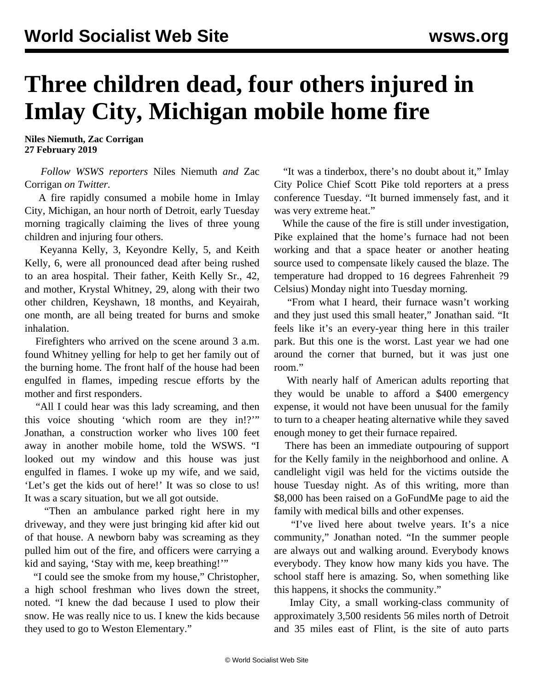## **Three children dead, four others injured in Imlay City, Michigan mobile home fire**

**Niles Niemuth, Zac Corrigan 27 February 2019**

 *Follow WSWS reporters* [Niles Niemuth](https://twitter.com/niles_niemuth) *and* [Zac](https://twitter.com/realZacCorrigan) [Corrigan](https://twitter.com/realZacCorrigan) *on Twitter.*

 A fire rapidly consumed a mobile home in Imlay City, Michigan, an hour north of Detroit, early Tuesday morning tragically claiming the lives of three young children and injuring four others.

 Keyanna Kelly, 3, Keyondre Kelly, 5, and Keith Kelly, 6, were all pronounced dead after being rushed to an area hospital. Their father, Keith Kelly Sr., 42, and mother, Krystal Whitney, 29, along with their two other children, Keyshawn, 18 months, and Keyairah, one month, are all being treated for burns and smoke inhalation.

 Firefighters who arrived on the scene around 3 a.m. found Whitney yelling for help to get her family out of the burning home. The front half of the house had been engulfed in flames, impeding rescue efforts by the mother and first responders.

 "All I could hear was this lady screaming, and then this voice shouting 'which room are they in!?'" Jonathan, a construction worker who lives 100 feet away in another mobile home, told the WSWS. "I looked out my window and this house was just engulfed in flames. I woke up my wife, and we said, 'Let's get the kids out of here!' It was so close to us! It was a scary situation, but we all got outside.

 "Then an ambulance parked right here in my driveway, and they were just bringing kid after kid out of that house. A newborn baby was screaming as they pulled him out of the fire, and officers were carrying a kid and saying, 'Stay with me, keep breathing!'"

 "I could see the smoke from my house," Christopher, a high school freshman who lives down the street, noted. "I knew the dad because I used to plow their snow. He was really nice to us. I knew the kids because they used to go to Weston Elementary."

 "It was a tinderbox, there's no doubt about it," Imlay City Police Chief Scott Pike told reporters at a press conference Tuesday. "It burned immensely fast, and it was very extreme heat."

 While the cause of the fire is still under investigation, Pike explained that the home's furnace had not been working and that a space heater or another heating source used to compensate likely caused the blaze. The temperature had dropped to 16 degrees Fahrenheit ?9 Celsius) Monday night into Tuesday morning.

 "From what I heard, their furnace wasn't working and they just used this small heater," Jonathan said. "It feels like it's an every-year thing here in this trailer park. But this one is the worst. Last year we had one around the corner that burned, but it was just one room."

 With nearly half of American adults reporting that they would be unable to afford a \$400 emergency expense, it would not have been unusual for the family to turn to a cheaper heating alternative while they saved enough money to get their furnace repaired.

 There has been an immediate outpouring of support for the Kelly family in the neighborhood and online. A candlelight vigil was held for the victims outside the house Tuesday night. As of this writing, more than \$8,000 has been raised on a [GoFundMe page](https://www.gofundme.com/help-with-any-expense) to aid the family with medical bills and other expenses.

 "I've lived here about twelve years. It's a nice community," Jonathan noted. "In the summer people are always out and walking around. Everybody knows everybody. They know how many kids you have. The school staff here is amazing. So, when something like this happens, it shocks the community."

 Imlay City, a small working-class community of approximately 3,500 residents 56 miles north of Detroit and 35 miles east of Flint, is the site of auto parts